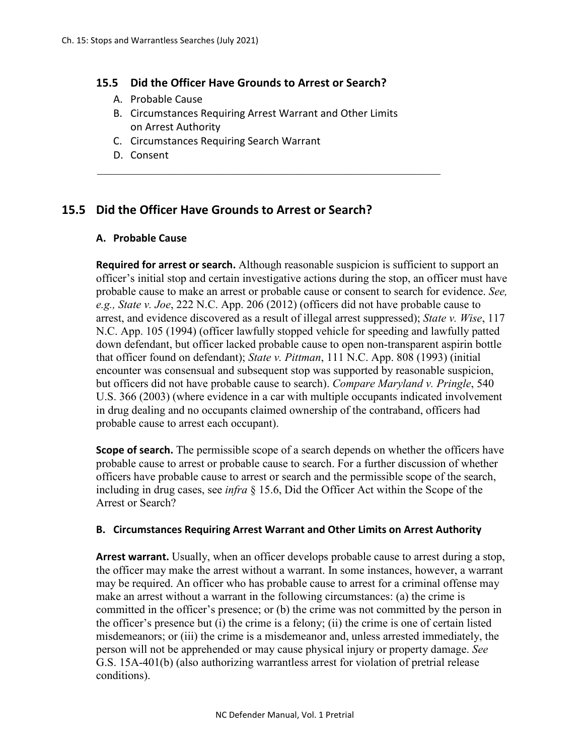#### **15.5 Did the Officer Have Grounds to Arrest or Search?**

- A. Probable Cause
- B. Circumstances Requiring Arrest Warrant and Other Limits on Arrest Authority
- C. Circumstances Requiring Search Warrant
- D. Consent

# **15.5 Did the Officer Have Grounds to Arrest or Search?**

### **A. Probable Cause**

**Required for arrest or search.** Although reasonable suspicion is sufficient to support an officer's initial stop and certain investigative actions during the stop, an officer must have probable cause to make an arrest or probable cause or consent to search for evidence. *See, e.g., State v. Joe*, 222 N.C. App. 206 (2012) (officers did not have probable cause to arrest, and evidence discovered as a result of illegal arrest suppressed); *State v. Wise*, 117 N.C. App. 105 (1994) (officer lawfully stopped vehicle for speeding and lawfully patted down defendant, but officer lacked probable cause to open non-transparent aspirin bottle that officer found on defendant); *State v. Pittman*, 111 N.C. App. 808 (1993) (initial encounter was consensual and subsequent stop was supported by reasonable suspicion, but officers did not have probable cause to search). *Compare Maryland v. Pringle*, 540 U.S. 366 (2003) (where evidence in a car with multiple occupants indicated involvement in drug dealing and no occupants claimed ownership of the contraband, officers had probable cause to arrest each occupant).

**Scope of search.** The permissible scope of a search depends on whether the officers have probable cause to arrest or probable cause to search. For a further discussion of whether officers have probable cause to arrest or search and the permissible scope of the search, including in drug cases, see *infra* § 15.6, Did the Officer Act within the Scope of the Arrest or Search?

#### **B. Circumstances Requiring Arrest Warrant and Other Limits on Arrest Authority**

**Arrest warrant.** Usually, when an officer develops probable cause to arrest during a stop, the officer may make the arrest without a warrant. In some instances, however, a warrant may be required. An officer who has probable cause to arrest for a criminal offense may make an arrest without a warrant in the following circumstances: (a) the crime is committed in the officer's presence; or (b) the crime was not committed by the person in the officer's presence but (i) the crime is a felony; (ii) the crime is one of certain listed misdemeanors; or (iii) the crime is a misdemeanor and, unless arrested immediately, the person will not be apprehended or may cause physical injury or property damage. *See* G.S. 15A-401(b) (also authorizing warrantless arrest for violation of pretrial release conditions).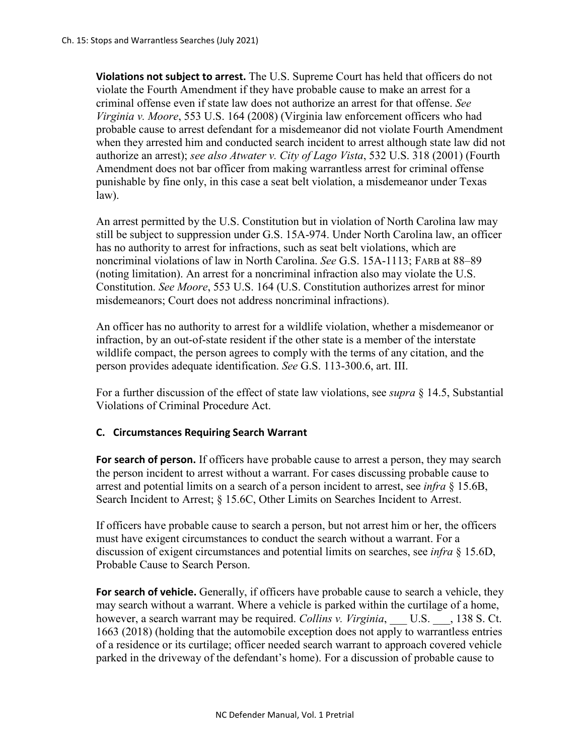**Violations not subject to arrest.** The U.S. Supreme Court has held that officers do not violate the Fourth Amendment if they have probable cause to make an arrest for a criminal offense even if state law does not authorize an arrest for that offense. *See Virginia v. Moore*, 553 U.S. 164 (2008) (Virginia law enforcement officers who had probable cause to arrest defendant for a misdemeanor did not violate Fourth Amendment when they arrested him and conducted search incident to arrest although state law did not authorize an arrest); *see also Atwater v. City of Lago Vista*, 532 U.S. 318 (2001) (Fourth Amendment does not bar officer from making warrantless arrest for criminal offense punishable by fine only, in this case a seat belt violation, a misdemeanor under Texas law).

An arrest permitted by the U.S. Constitution but in violation of North Carolina law may still be subject to suppression under G.S. 15A-974. Under North Carolina law, an officer has no authority to arrest for infractions, such as seat belt violations, which are noncriminal violations of law in North Carolina. *See* G.S. 15A-1113; FARB at 88–89 (noting limitation). An arrest for a noncriminal infraction also may violate the U.S. Constitution. *See Moore*, 553 U.S. 164 (U.S. Constitution authorizes arrest for minor misdemeanors; Court does not address noncriminal infractions).

An officer has no authority to arrest for a wildlife violation, whether a misdemeanor or infraction, by an out-of-state resident if the other state is a member of the interstate wildlife compact, the person agrees to comply with the terms of any citation, and the person provides adequate identification. *See* G.S. 113-300.6, art. III.

For a further discussion of the effect of state law violations, see *supra* § 14.5, Substantial Violations of Criminal Procedure Act.

## **C. Circumstances Requiring Search Warrant**

**For search of person.** If officers have probable cause to arrest a person, they may search the person incident to arrest without a warrant. For cases discussing probable cause to arrest and potential limits on a search of a person incident to arrest, see *infra* § 15.6B, Search Incident to Arrest; § 15.6C, Other Limits on Searches Incident to Arrest.

If officers have probable cause to search a person, but not arrest him or her, the officers must have exigent circumstances to conduct the search without a warrant. For a discussion of exigent circumstances and potential limits on searches, see *infra* § 15.6D, Probable Cause to Search Person.

For search of vehicle. Generally, if officers have probable cause to search a vehicle, they may search without a warrant. Where a vehicle is parked within the curtilage of a home, however, a search warrant may be required. *Collins v. Virginia*, \_\_\_ U.S. \_\_\_, 138 S. Ct. 1663 (2018) (holding that the automobile exception does not apply to warrantless entries of a residence or its curtilage; officer needed search warrant to approach covered vehicle parked in the driveway of the defendant's home). For a discussion of probable cause to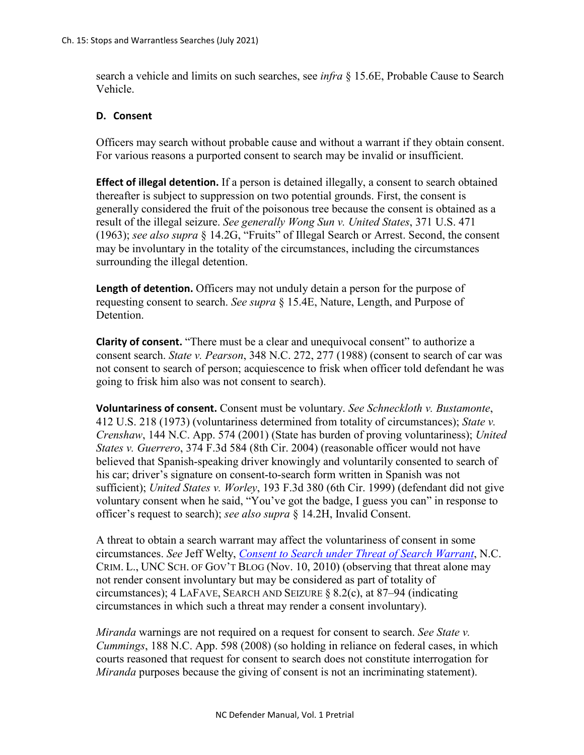search a vehicle and limits on such searches, see *infra* § 15.6E, Probable Cause to Search Vehicle.

### **D. Consent**

Officers may search without probable cause and without a warrant if they obtain consent. For various reasons a purported consent to search may be invalid or insufficient.

**Effect of illegal detention.** If a person is detained illegally, a consent to search obtained thereafter is subject to suppression on two potential grounds. First, the consent is generally considered the fruit of the poisonous tree because the consent is obtained as a result of the illegal seizure. *See generally Wong Sun v. United States*, 371 U.S. 471 (1963); *see also supra* § 14.2G, "Fruits" of Illegal Search or Arrest. Second, the consent may be involuntary in the totality of the circumstances, including the circumstances surrounding the illegal detention.

**Length of detention.** Officers may not unduly detain a person for the purpose of requesting consent to search. *See supra* § 15.4E, Nature, Length, and Purpose of Detention.

**Clarity of consent.** "There must be a clear and unequivocal consent" to authorize a consent search. *State v. Pearson*, 348 N.C. 272, 277 (1988) (consent to search of car was not consent to search of person; acquiescence to frisk when officer told defendant he was going to frisk him also was not consent to search).

**Voluntariness of consent.** Consent must be voluntary. *See Schneckloth v. Bustamonte*, 412 U.S. 218 (1973) (voluntariness determined from totality of circumstances); *State v. Crenshaw*, 144 N.C. App. 574 (2001) (State has burden of proving voluntariness); *United States v. Guerrero*, 374 F.3d 584 (8th Cir. 2004) (reasonable officer would not have believed that Spanish-speaking driver knowingly and voluntarily consented to search of his car; driver's signature on consent-to-search form written in Spanish was not sufficient); *United States v. Worley*, 193 F.3d 380 (6th Cir. 1999) (defendant did not give voluntary consent when he said, "You've got the badge, I guess you can" in response to officer's request to search); *see also supra* § 14.2H, Invalid Consent.

A threat to obtain a search warrant may affect the voluntariness of consent in some circumstances. *See* Jeff Welty, *[Consent to Search under Threat of Search Warrant](https://nccriminallaw.sog.unc.edu/consent-to-search-under-threat-of-search-warrant/)*, N.C. CRIM. L., UNC SCH. OF GOV'T BLOG (Nov. 10, 2010) (observing that threat alone may not render consent involuntary but may be considered as part of totality of circumstances); 4 LAFAVE, SEARCH AND SEIZURE § 8.2(c), at 87–94 (indicating circumstances in which such a threat may render a consent involuntary).

*Miranda* warnings are not required on a request for consent to search. *See State v. Cummings*, 188 N.C. App. 598 (2008) (so holding in reliance on federal cases, in which courts reasoned that request for consent to search does not constitute interrogation for *Miranda* purposes because the giving of consent is not an incriminating statement).